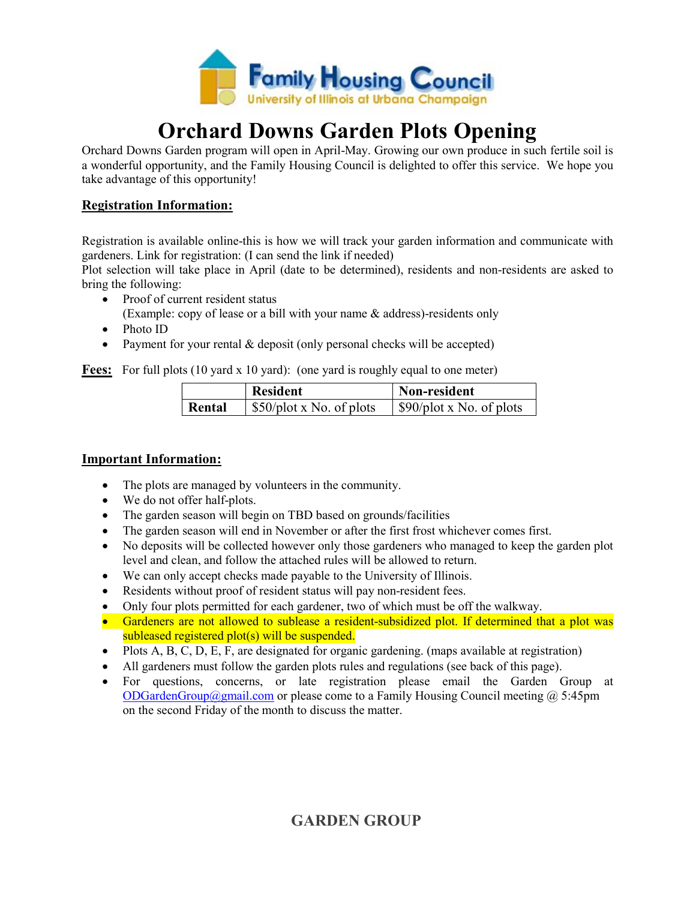

# Orchard Downs Garden Plots Opening

Orchard Downs Garden program will open in April-May. Growing our own produce in such fertile soil is a wonderful opportunity, and the Family Housing Council is delighted to offer this service. We hope you take advantage of this opportunity!

#### Registration Information:

Registration is available online-this is how we will track your garden information and communicate with gardeners. Link for registration: (I can send the link if needed)

Plot selection will take place in April (date to be determined), residents and non-residents are asked to bring the following:

- Proof of current resident status
	- (Example: copy of lease or a bill with your name & address)-residents only
- Photo ID
- Payment for your rental & deposit (only personal checks will be accepted)

Fees: For full plots (10 yard x 10 yard): (one yard is roughly equal to one meter)

|        | <b>Resident</b>                        | Non-resident                           |
|--------|----------------------------------------|----------------------------------------|
| Rental | $\frac{1}{2}$ \$50/plot x No. of plots | $\frac{1}{2}$ \$90/plot x No. of plots |

#### Important Information:

- The plots are managed by volunteers in the community.
- We do not offer half-plots.
- The garden season will begin on TBD based on grounds/facilities
- The garden season will end in November or after the first frost whichever comes first.
- No deposits will be collected however only those gardeners who managed to keep the garden plot level and clean, and follow the attached rules will be allowed to return.
- We can only accept checks made payable to the University of Illinois.
- Residents without proof of resident status will pay non-resident fees.
- Only four plots permitted for each gardener, two of which must be off the walkway.
- Gardeners are not allowed to sublease a resident-subsidized plot. If determined that a plot was subleased registered plot(s) will be suspended.
- $\bullet$  Plots A, B, C, D, E, F, are designated for organic gardening. (maps available at registration)
- All gardeners must follow the garden plots rules and regulations (see back of this page).
- For questions, concerns, or late registration please email the Garden Group at ODGardenGroup@gmail.com or please come to a Family Housing Council meeting @ 5:45pm on the second Friday of the month to discuss the matter.

## GARDEN GROUP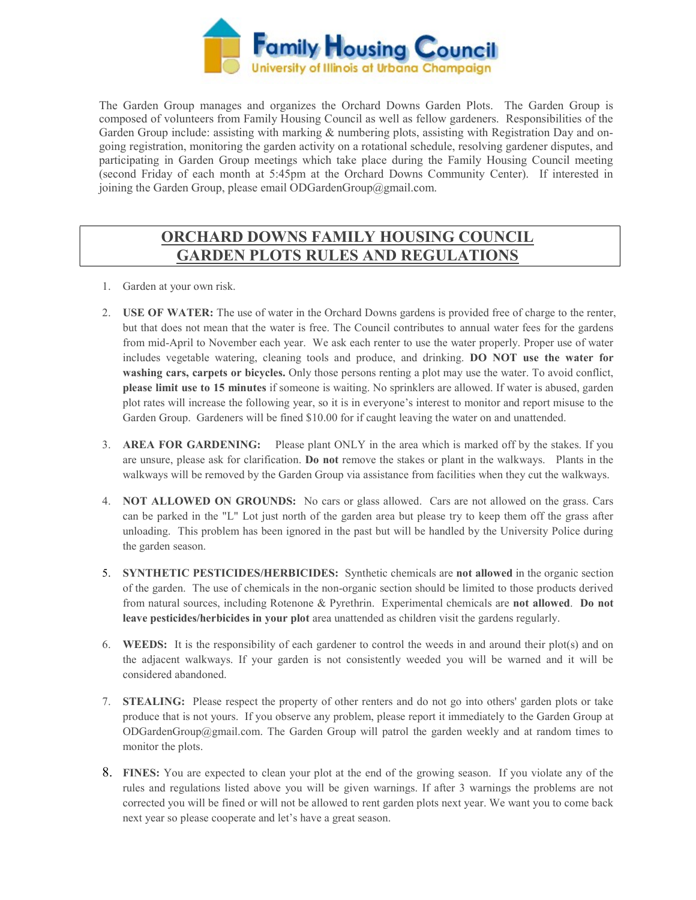

The Garden Group manages and organizes the Orchard Downs Garden Plots. The Garden Group is composed of volunteers from Family Housing Council as well as fellow gardeners. Responsibilities of the Garden Group include: assisting with marking & numbering plots, assisting with Registration Day and ongoing registration, monitoring the garden activity on a rotational schedule, resolving gardener disputes, and participating in Garden Group meetings which take place during the Family Housing Council meeting (second Friday of each month at 5:45pm at the Orchard Downs Community Center). If interested in joining the Garden Group, please email ODGardenGroup@gmail.com.

### ORCHARD DOWNS FAMILY HOUSING COUNCIL GARDEN PLOTS RULES AND REGULATIONS

- 1. Garden at your own risk.
- 2. USE OF WATER: The use of water in the Orchard Downs gardens is provided free of charge to the renter, but that does not mean that the water is free. The Council contributes to annual water fees for the gardens from mid-April to November each year. We ask each renter to use the water properly. Proper use of water includes vegetable watering, cleaning tools and produce, and drinking. DO NOT use the water for washing cars, carpets or bicycles. Only those persons renting a plot may use the water. To avoid conflict, please limit use to 15 minutes if someone is waiting. No sprinklers are allowed. If water is abused, garden plot rates will increase the following year, so it is in everyone's interest to monitor and report misuse to the Garden Group. Gardeners will be fined \$10.00 for if caught leaving the water on and unattended.
- 3. AREA FOR GARDENING: Please plant ONLY in the area which is marked off by the stakes. If you are unsure, please ask for clarification. Do not remove the stakes or plant in the walkways. Plants in the walkways will be removed by the Garden Group via assistance from facilities when they cut the walkways.
- 4. NOT ALLOWED ON GROUNDS: No cars or glass allowed. Cars are not allowed on the grass. Cars can be parked in the "L" Lot just north of the garden area but please try to keep them off the grass after unloading. This problem has been ignored in the past but will be handled by the University Police during the garden season.
- 5. SYNTHETIC PESTICIDES/HERBICIDES: Synthetic chemicals are not allowed in the organic section of the garden. The use of chemicals in the non-organic section should be limited to those products derived from natural sources, including Rotenone & Pyrethrin. Experimental chemicals are not allowed. Do not leave pesticides/herbicides in your plot area unattended as children visit the gardens regularly.
- 6. WEEDS: It is the responsibility of each gardener to control the weeds in and around their plot(s) and on the adjacent walkways. If your garden is not consistently weeded you will be warned and it will be considered abandoned.
- 7. STEALING: Please respect the property of other renters and do not go into others' garden plots or take produce that is not yours. If you observe any problem, please report it immediately to the Garden Group at ODGardenGroup@gmail.com. The Garden Group will patrol the garden weekly and at random times to monitor the plots.
- 8. FINES: You are expected to clean your plot at the end of the growing season. If you violate any of the rules and regulations listed above you will be given warnings. If after 3 warnings the problems are not corrected you will be fined or will not be allowed to rent garden plots next year. We want you to come back next year so please cooperate and let's have a great season.